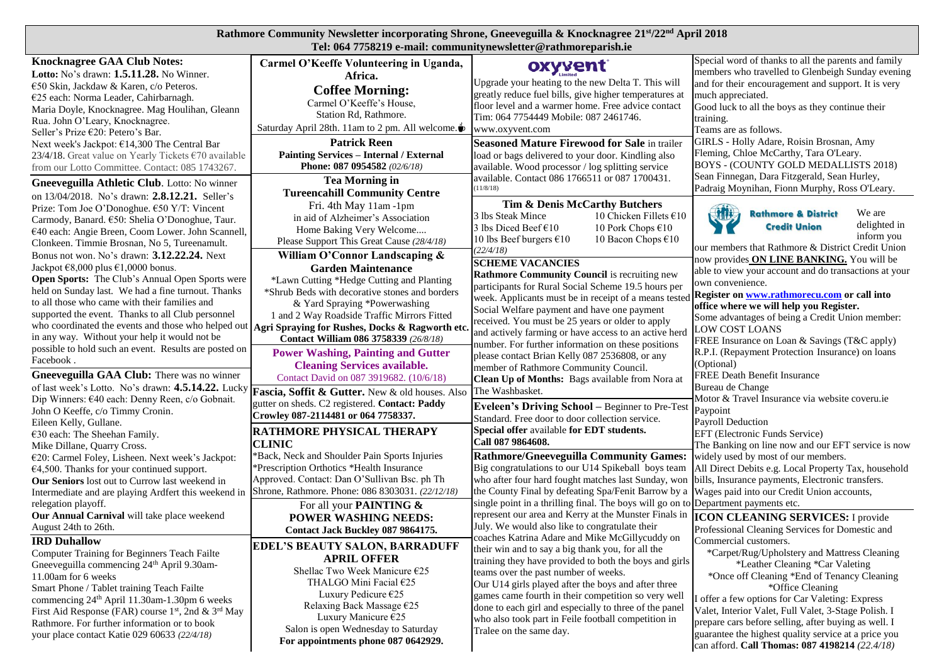## **Rathmore Community Newsletter incorporating Shrone, Gneeveguilla & Knocknagree 21st/22nd April 2018 Tel: 064 7758219 e-mail: communitynewsletter@rathmoreparish.ie**

|                                                                             |                                                        | 1 сг. точ 7 тэратэ с-тан. соннципсунс «экскег »таанногерагізныс                                             |                                                                                               |
|-----------------------------------------------------------------------------|--------------------------------------------------------|-------------------------------------------------------------------------------------------------------------|-----------------------------------------------------------------------------------------------|
| <b>Knocknagree GAA Club Notes:</b>                                          | Carmel O'Keeffe Volunteering in Uganda,                | oxyvent                                                                                                     | Special word of thanks to all the parents and family                                          |
| Lotto: No's drawn: 1.5.11.28. No Winner.                                    | Africa.                                                |                                                                                                             | members who travelled to Glenbeigh Sunday evening                                             |
| €50 Skin, Jackdaw & Karen, c/o Peteros.                                     | <b>Coffee Morning:</b>                                 | Upgrade your heating to the new Delta T. This will                                                          | and for their encouragement and support. It is very                                           |
| €25 each: Norma Leader, Cahirbarnagh.                                       | Carmel O'Keeffe's House,                               | greatly reduce fuel bills, give higher temperatures at                                                      | much appreciated.                                                                             |
| Maria Doyle, Knocknagree. Mag Houlihan, Gleann                              | Station Rd, Rathmore.                                  | floor level and a warmer home. Free advice contact                                                          | Good luck to all the boys as they continue their                                              |
| Rua. John O'Leary, Knocknagree.                                             | Saturday April 28th. 11am to 2 pm. All welcome. $\phi$ | Tim: 064 7754449 Mobile: 087 2461746.                                                                       | training.                                                                                     |
| Seller's Prize €20: Petero's Bar.                                           |                                                        | www.oxyvent.com                                                                                             | Teams are as follows.                                                                         |
| Next week's Jackpot: €14,300 The Central Bar                                | <b>Patrick Reen</b>                                    | <b>Seasoned Mature Firewood for Sale in trailer</b>                                                         | GIRLS - Holly Adare, Roisin Brosnan, Amy                                                      |
| 23/4/18. Great value on Yearly Tickets €70 available                        | <b>Painting Services - Internal / External</b>         | load or bags delivered to your door. Kindling also                                                          | Fleming, Chloe McCarthy, Tara O'Leary.                                                        |
| from our Lotto Committee. Contact: 085 1743267.                             | Phone: 087 0954582 (02/6/18)                           | available. Wood processor / log splitting service                                                           | BOYS - (COUNTY GOLD MEDALLISTS 2018)                                                          |
| Gneeveguilla Athletic Club. Lotto: No winner                                | <b>Tea Morning in</b>                                  | available. Contact 086 1766511 or 087 1700431.<br>(11/8/18)                                                 | Sean Finnegan, Dara Fitzgerald, Sean Hurley,<br>Padraig Moynihan, Fionn Murphy, Ross O'Leary. |
| on 13/04/2018. No's drawn: 2.8.12.21. Seller's                              | <b>Tureencahill Community Centre</b>                   |                                                                                                             |                                                                                               |
| Prize: Tom Joe O'Donoghue. €50 Y/T: Vincent                                 | Fri. 4th May 11am -1pm                                 | Tim & Denis McCarthy Butchers                                                                               |                                                                                               |
| Carmody, Banard. €50: Shelia O'Donoghue, Taur.                              | in aid of Alzheimer's Association                      | 10 Chicken Fillets €10<br>3 lbs Steak Mince                                                                 | <b>AID</b><br><b>Rathmore &amp; District</b><br>We are                                        |
| €40 each: Angie Breen, Coom Lower. John Scannell,                           | Home Baking Very Welcome                               | 10 Pork Chops €10<br>3 lbs Diced Beef $€10$                                                                 | delighted in<br><b>Credit Union</b>                                                           |
| Clonkeen. Timmie Brosnan, No 5, Tureenamult.                                | Please Support This Great Cause (28/4/18)              | 10 Bacon Chops €10<br>10 lbs Beef burgers $\epsilon$ 10                                                     | inform you<br>our members that Rathmore & District Credit Union                               |
| Bonus not won. No's drawn: 3.12.22.24. Next                                 | William O'Connor Landscaping &                         | (22/4/18)                                                                                                   | now provides ON LINE BANKING. You will be                                                     |
| Jackpot $\epsilon$ 8,000 plus $\epsilon$ 1,0000 bonus.                      | <b>Garden Maintenance</b>                              | <b>SCHEME VACANCIES</b>                                                                                     | able to view your account and do transactions at your                                         |
| <b>Open Sports:</b> The Club's Annual Open Sports were                      | *Lawn Cutting *Hedge Cutting and Planting              | Rathmore Community Council is recruiting new                                                                | own convenience.                                                                              |
| held on Sunday last. We had a fine turnout. Thanks                          | *Shrub Beds with decorative stones and borders         | participants for Rural Social Scheme 19.5 hours per                                                         | Register on www.rathmorecu.com or call into                                                   |
| to all those who came with their families and                               | & Yard Spraying *Powerwashing                          | week. Applicants must be in receipt of a means tested                                                       | office where we will help you Register.                                                       |
| supported the event. Thanks to all Club personnel                           | 1 and 2 Way Roadside Traffic Mirrors Fitted            | Social Welfare payment and have one payment                                                                 | Some advantages of being a Credit Union member:                                               |
| who coordinated the events and those who helped out                         | Agri Spraying for Rushes, Docks & Ragworth etc.        | received. You must be 25 years or older to apply                                                            | LOW COST LOANS                                                                                |
| in any way. Without your help it would not be                               | <b>Contact William 086 3758339 (26/8/18)</b>           | and actively farming or have access to an active herd<br>number. For further information on these positions | FREE Insurance on Loan & Savings (T&C apply)                                                  |
| possible to hold such an event. Results are posted on                       | <b>Power Washing, Painting and Gutter</b>              |                                                                                                             | R.P.I. (Repayment Protection Insurance) on loans                                              |
| Facebook.                                                                   | <b>Cleaning Services available.</b>                    | please contact Brian Kelly 087 2536808, or any<br>member of Rathmore Community Council.                     | (Optional)                                                                                    |
| Gneeveguilla GAA Club: There was no winner                                  | Contact David on 087 3919682. (10/6/18)                | Clean Up of Months: Bags available from Nora at                                                             | FREE Death Benefit Insurance                                                                  |
| of last week's Lotto. No's drawn: 4.5.14.22. Lucky                          | Fascia, Soffit & Gutter. New & old houses. Also        | The Washbasket.                                                                                             | Bureau de Change                                                                              |
| Dip Winners: €40 each: Denny Reen, c/o Gobnait.                             | gutter on sheds. C2 registered. Contact: Paddy         |                                                                                                             | Motor & Travel Insurance via website coveru.ie                                                |
| John O Keeffe, c/o Timmy Cronin.                                            | Crowley 087-2114481 or 064 7758337.                    | <b>Eveleen's Driving School - Beginner to Pre-Test</b>                                                      | Paypoint                                                                                      |
| Eileen Kelly, Gullane.                                                      |                                                        | Standard. Free door to door collection service.                                                             | <b>Payroll Deduction</b>                                                                      |
| €30 each: The Sheehan Family.                                               | RATHMORE PHYSICAL THERAPY                              | Special offer available for EDT students.                                                                   | EFT (Electronic Funds Service)                                                                |
| Mike Dillane, Quarry Cross.                                                 | <b>CLINIC</b>                                          | Call 087 9864608.                                                                                           | The Banking on line now and our EFT service is now                                            |
| €20: Carmel Foley, Lisheen. Next week's Jackpot:                            | *Back, Neck and Shoulder Pain Sports Injuries          | <b>Rathmore/Gneeveguilla Community Games:</b>                                                               | widely used by most of our members.                                                           |
| $€4,500$ . Thanks for your continued support.                               | *Prescription Orthotics *Health Insurance              | Big congratulations to our U14 Spikeball boys team                                                          | All Direct Debits e.g. Local Property Tax, household                                          |
| Our Seniors lost out to Currow last weekend in                              | Approved. Contact: Dan O'Sullivan Bsc. ph Th           | who after four hard fought matches last Sunday, won                                                         | bills, Insurance payments, Electronic transfers.                                              |
| Intermediate and are playing Ardfert this weekend in                        | Shrone, Rathmore. Phone: 086 8303031. (22/12/18)       | the County Final by defeating Spa/Fenit Barrow by a                                                         | Wages paid into our Credit Union accounts,                                                    |
| relegation playoff.                                                         | For all your <b>PAINTING &amp;</b>                     | single point in a thrilling final. The boys will go on to Department payments etc.                          |                                                                                               |
| Our Annual Carnival will take place weekend                                 | <b>POWER WASHING NEEDS:</b>                            | represent our area and Kerry at the Munster Finals in                                                       | <b>ICON CLEANING SERVICES: I provide</b>                                                      |
| August 24th to 26th.                                                        | Contact Jack Buckley 087 9864175.                      | July. We would also like to congratulate their                                                              | Professional Cleaning Services for Domestic and                                               |
| <b>IRD Duhallow</b>                                                         | <b>EDEL'S BEAUTY SALON, BARRADUFF</b>                  | coaches Katrina Adare and Mike McGillycuddy on                                                              | Commercial customers.                                                                         |
| Computer Training for Beginners Teach Failte                                | <b>APRIL OFFER</b>                                     | their win and to say a big thank you, for all the                                                           | *Carpet/Rug/Upholstery and Mattress Cleaning                                                  |
| Gneeveguilla commencing 24 <sup>th</sup> April 9.30am-                      | Shellac Two Week Manicure €25                          | training they have provided to both the boys and girls                                                      | *Leather Cleaning *Car Valeting                                                               |
| 11.00am for 6 weeks                                                         | THALGO Mini Facial €25                                 | teams over the past number of weeks.<br>Our U14 girls played after the boys and after three                 | *Once off Cleaning *End of Tenancy Cleaning                                                   |
| Smart Phone / Tablet training Teach Failte                                  | Luxury Pedicure €25                                    | games came fourth in their competition so very well                                                         | *Office Cleaning                                                                              |
| commencing 24 <sup>th</sup> April 11.30am-1.30pm 6 weeks                    | Relaxing Back Massage €25                              | done to each girl and especially to three of the panel                                                      | offer a few options for Car Valeting: Express                                                 |
| First Aid Response (FAR) course 1 <sup>st</sup> , 2nd & 3 <sup>rd</sup> May | Luxury Manicure €25                                    | who also took part in Feile football competition in                                                         | Valet, Interior Valet, Full Valet, 3-Stage Polish. I                                          |
| Rathmore. For further information or to book                                | Salon is open Wednesday to Saturday                    | Tralee on the same day.                                                                                     | prepare cars before selling, after buying as well. I                                          |
| your place contact Katie 029 60633 (22/4/18)                                | For appointments phone 087 0642929.                    |                                                                                                             | guarantee the highest quality service at a price you                                          |
|                                                                             |                                                        |                                                                                                             | can afford. Call Thomas: 087 4198214 (22.4/18)                                                |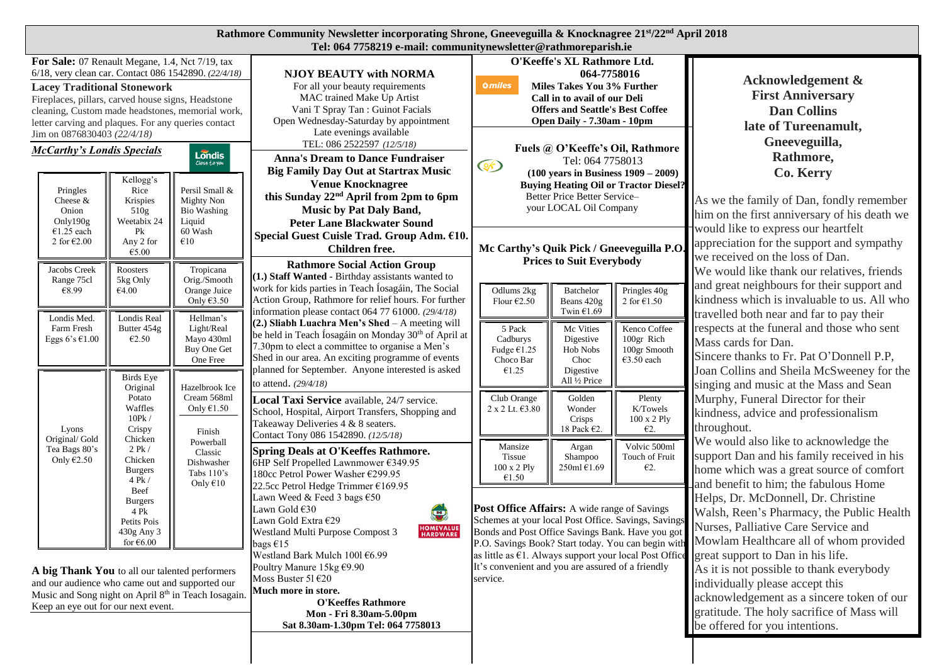| Rathmore Community Newsletter incorporating Shrone, Gneeveguilla & Knocknagree 21st/22 <sup>nd</sup> April 2018<br>Tel: 064 7758219 e-mail: communitynewsletter@rathmoreparish.ie                                                                                                                                                             |                                                                                                                               |                                                                                                                     |                                                                                                                                                                                                                                                                                                                                                                                                                                                                                                                                                                                                                                                                                                                                                                                                                                                                                                                                                                                                                                                                                                                                                                                                                      |                                                                                                                                                                                                                                                                                                                                                                                                                                    |                                                                                                            |                                                                                         |                                                                                                                                                                                                                                                                                                                                                                                                                                                                                                                                                                                                                             |
|-----------------------------------------------------------------------------------------------------------------------------------------------------------------------------------------------------------------------------------------------------------------------------------------------------------------------------------------------|-------------------------------------------------------------------------------------------------------------------------------|---------------------------------------------------------------------------------------------------------------------|----------------------------------------------------------------------------------------------------------------------------------------------------------------------------------------------------------------------------------------------------------------------------------------------------------------------------------------------------------------------------------------------------------------------------------------------------------------------------------------------------------------------------------------------------------------------------------------------------------------------------------------------------------------------------------------------------------------------------------------------------------------------------------------------------------------------------------------------------------------------------------------------------------------------------------------------------------------------------------------------------------------------------------------------------------------------------------------------------------------------------------------------------------------------------------------------------------------------|------------------------------------------------------------------------------------------------------------------------------------------------------------------------------------------------------------------------------------------------------------------------------------------------------------------------------------------------------------------------------------------------------------------------------------|------------------------------------------------------------------------------------------------------------|-----------------------------------------------------------------------------------------|-----------------------------------------------------------------------------------------------------------------------------------------------------------------------------------------------------------------------------------------------------------------------------------------------------------------------------------------------------------------------------------------------------------------------------------------------------------------------------------------------------------------------------------------------------------------------------------------------------------------------------|
| For Sale: 07 Renault Megane, 1.4, Nct 7/19, tax<br>6/18, very clean car. Contact 086 1542890. (22/4/18)<br><b>Lacey Traditional Stonework</b><br>Fireplaces, pillars, carved house signs, Headstone<br>cleaning, Custom made headstones, memorial work,<br>letter carving and plaques. For any queries contact<br>Jim on 0876830403 (22/4/18) |                                                                                                                               |                                                                                                                     | <b>NJOY BEAUTY with NORMA</b><br>For all your beauty requirements<br>MAC trained Make Up Artist<br>Vani T Spray Tan : Guinot Facials<br>Open Wednesday-Saturday by appointment<br>Late evenings available                                                                                                                                                                                                                                                                                                                                                                                                                                                                                                                                                                                                                                                                                                                                                                                                                                                                                                                                                                                                            | O'Keeffe's XL Rathmore Ltd.<br>064-7758016<br><b>Omiles</b><br>Miles Takes You 3% Further<br>Call in to avail of our Deli<br><b>Offers and Seattle's Best Coffee</b><br>Open Daily - 7.30am - 10pm                                                                                                                                                                                                                                 |                                                                                                            |                                                                                         | Acknowledgement &<br><b>First Anniversary</b><br><b>Dan Collins</b><br>late of Tureenamult,                                                                                                                                                                                                                                                                                                                                                                                                                                                                                                                                 |
| <b>McCarthy's Londis Specials</b><br>Pringles<br>Cheese $&$<br>Onion<br>Only190g<br>€1.25 each<br>2 for $\epsilon$ 2.00                                                                                                                                                                                                                       | Kellogg's<br>Rice<br>Krispies<br>510g<br>Weetabix 24<br>Pk<br>Any 2 for<br>€5.00                                              | $\overline{\text{Londis}}$<br>Persil Small &<br><b>Mighty Non</b><br><b>Bio Washing</b><br>Liquid<br>60 Wash<br>€10 | TEL: 086 2522597 (12/5/18)<br><b>Anna's Dream to Dance Fundraiser</b><br><b>Big Family Day Out at Startrax Music</b><br><b>Venue Knocknagree</b><br>this Sunday 22 <sup>nd</sup> April from 2pm to 6pm<br>Music by Pat Daly Band,<br><b>Peter Lane Blackwater Sound</b><br>Special Guest Cuisle Trad. Group Adm. €10.<br>Children free.<br><b>Rathmore Social Action Group</b><br>(1.) Staff Wanted - Birthday assistants wanted to<br>work for kids parties in Teach Íosagáin, The Social<br>Action Group, Rathmore for relief hours. For further<br>information please contact 064 77 61000. (29/4/18)<br>(2.) Sliabh Luachra Men's Shed - A meeting will<br>be held in Teach Íosagáin on Monday 30th of April at<br>7.30pm to elect a committee to organise a Men's<br>Shed in our area. An exciting programme of events<br>planned for September. Anyone interested is asked<br>to attend. (29/4/18)<br>Local Taxi Service available, 24/7 service.<br>School, Hospital, Airport Transfers, Shopping and<br>Takeaway Deliveries 4 & 8 seaters.<br>Contact Tony 086 1542890. (12/5/18)<br><b>Spring Deals at O'Keeffes Rathmore.</b><br>6HP Self Propelled Lawnmower €349.95<br>180cc Petrol Power Washer €299.95 | Fuels @ O'Keeffe's Oil, Rathmore<br>Tel: 064 7758013<br>E<br>$(100 \text{ years in Business } 1909 - 2009)$<br><b>Buying Heating Oil or Tractor Diesel?</b><br>Better Price Better Service-<br>your LOCAL Oil Company<br>Mc Carthy's Quik Pick / Gneeveguilla P.O.<br><b>Prices to Suit Everybody</b>                                                                                                                              |                                                                                                            |                                                                                         | Gneeveguilla,<br>Rathmore,<br>Co. Kerry<br>As we the family of Dan, fondly remember<br>him on the first anniversary of his death we<br>would like to express our heartfelt<br>appreciation for the support and sympathy<br>we received on the loss of Dan.                                                                                                                                                                                                                                                                                                                                                                  |
| Jacobs Creek<br>Range 75cl<br>€8.99                                                                                                                                                                                                                                                                                                           | Roosters<br>5kg Only<br>€4.00                                                                                                 | Tropicana<br>Orig./Smooth<br>Orange Juice<br>Only $63.50$                                                           |                                                                                                                                                                                                                                                                                                                                                                                                                                                                                                                                                                                                                                                                                                                                                                                                                                                                                                                                                                                                                                                                                                                                                                                                                      | Odlums 2kg<br>Flour $E2.50$                                                                                                                                                                                                                                                                                                                                                                                                        | Batchelor<br>Beans 420g<br>Twin $€1.69$                                                                    | Pringles 40g<br>2 for $\epsilon$ 1.50                                                   | We would like thank our relatives, friends<br>and great neighbours for their support and<br>kindness which is invaluable to us. All who<br>travelled both near and far to pay their<br>respects at the funeral and those who sent<br>Mass cards for Dan.<br>Sincere thanks to Fr. Pat O'Donnell P.P,<br>Joan Collins and Sheila McSweeney for the<br>singing and music at the Mass and Sean<br>Murphy, Funeral Director for their<br>kindness, advice and professionalism<br>throughout.<br>We would also like to acknowledge the<br>support Dan and his family received in his<br>home which was a great source of comfort |
| Londis Med.<br>Farm Fresh<br>Eggs 6's $€1.00$                                                                                                                                                                                                                                                                                                 | Londis Real<br>Butter 454g<br>€2.50                                                                                           | Hellman's<br>Light/Real<br>Mayo 430ml<br>Buy One Get<br>One Free                                                    |                                                                                                                                                                                                                                                                                                                                                                                                                                                                                                                                                                                                                                                                                                                                                                                                                                                                                                                                                                                                                                                                                                                                                                                                                      | 5 Pack<br>Cadburys<br>Fudge €1.25<br>Choco Bar                                                                                                                                                                                                                                                                                                                                                                                     | Mc Vities<br>Digestive<br>Hob Nobs<br>Choc                                                                 | Kenco Coffee<br>100gr Rich<br>100gr Smooth<br>€3.50 each                                |                                                                                                                                                                                                                                                                                                                                                                                                                                                                                                                                                                                                                             |
| Lyons<br>Original/ Gold<br>Tea Bags 80's<br>Only $E2.50$                                                                                                                                                                                                                                                                                      | Birds Eye<br>Original<br>Potato<br>Waffles<br>10Pk/<br>Crispy<br>Chicken<br>$2$ Pk $/$<br>Chicken<br><b>Burgers</b><br>4 Pk / | Hazelbrook Ice<br>Cream 568ml<br>Only $€1.50$<br>Finish<br>Powerball<br>Classic<br>Dishwasher<br>Tabs $110$ 's      |                                                                                                                                                                                                                                                                                                                                                                                                                                                                                                                                                                                                                                                                                                                                                                                                                                                                                                                                                                                                                                                                                                                                                                                                                      | €1.25<br>Club Orange<br>$2 \times 2$ Lt. $\epsilon$ 3.80<br>Mansize<br><b>Tissue</b><br>100 x 2 Ply<br>€1.50                                                                                                                                                                                                                                                                                                                       | Digestive<br>All 1/2 Price<br>Golden<br>Wonder<br>Crisps<br>18 Pack €2.<br>Argan<br>Shampoo<br>250ml €1.69 | Plenty<br>K/Towels<br>100 x 2 Ply<br>$E$ 2.<br>Volvic 500ml<br>Touch of Fruit<br>$E2$ . |                                                                                                                                                                                                                                                                                                                                                                                                                                                                                                                                                                                                                             |
| A big Thank You to all our talented performers<br>and our audience who came out and supported our<br>Music and Song night on April 8 <sup>th</sup> in Teach Iosagain.<br>Keep an eye out for our next event.                                                                                                                                  | Beef<br><b>Burgers</b><br>4 Pk<br>Petits Pois<br>$430g$ Any 3<br>for $\epsilon$ 6.00                                          | Only $€10$                                                                                                          | 22.5cc Petrol Hedge Trimmer €169.95<br>Lawn Weed & Feed 3 bags €50<br>Lawn Gold €30<br>$\bigoplus$<br>Lawn Gold Extra €29<br><b>HOMEVALUE</b><br><b>Westland Multi Purpose Compost 3</b><br>bags €15<br>Westland Bark Mulch 1001€6.99<br>Poultry Manure 15kg €9.90<br>Moss Buster 51 $\epsilon$ 20<br>Much more in store.<br><b>O'Keeffes Rathmore</b><br>Mon - Fri 8.30am-5.00pm<br>Sat 8.30am-1.30pm Tel: 064 7758013                                                                                                                                                                                                                                                                                                                                                                                                                                                                                                                                                                                                                                                                                                                                                                                              | <b>Post Office Affairs:</b> A wide range of Savings<br>Schemes at your local Post Office. Savings, Savings<br>Nurses, Palliative Care Service and<br>Bonds and Post Office Savings Bank. Have you got<br>P.O. Savings Book? Start today. You can begin with<br>as little as $\epsilon$ 1. Always support your local Post Office great support to Dan in his life.<br>It's convenient and you are assured of a friendly<br>service. |                                                                                                            |                                                                                         | and benefit to him; the fabulous Home<br>Helps, Dr. McDonnell, Dr. Christine<br>Walsh, Reen's Pharmacy, the Public Health<br>Mowlam Healthcare all of whom provided<br>As it is not possible to thank everybody<br>individually please accept this<br>acknowledgement as a sincere token of our<br>gratitude. The holy sacrifice of Mass will<br>be offered for you intentions.                                                                                                                                                                                                                                             |